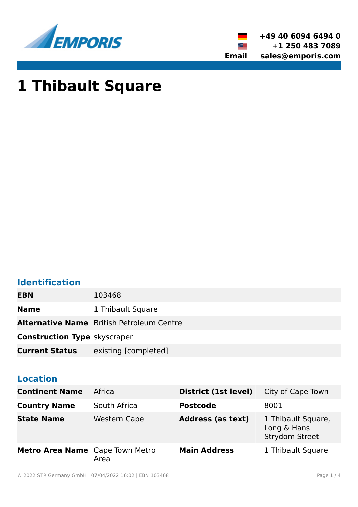



# **1 Thibault Square**

# **Identification**

**EBN** 103468

**Name** 1 Thibault Square

**Alternative Name** British Petroleum Centre

**Construction Type** skyscraper

**Current Status** existing [completed]

# **Location**

| <b>Continent Name</b>           | Africa              | District (1st level)     | City of Cape Town                                          |
|---------------------------------|---------------------|--------------------------|------------------------------------------------------------|
| <b>Country Name</b>             | South Africa        | <b>Postcode</b>          | 8001                                                       |
| <b>State Name</b>               | <b>Western Cape</b> | <b>Address (as text)</b> | 1 Thibault Square,<br>Long & Hans<br><b>Strydom Street</b> |
| Metro Area Name Cape Town Metro | Area                | <b>Main Address</b>      | 1 Thibault Square                                          |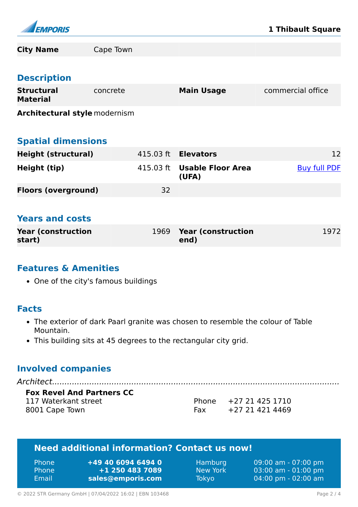

| <b>City Name</b>                     | Cape Town |           |                                    |                     |
|--------------------------------------|-----------|-----------|------------------------------------|---------------------|
|                                      |           |           |                                    |                     |
| <b>Description</b>                   |           |           |                                    |                     |
| <b>Structural</b><br><b>Material</b> | concrete  |           | <b>Main Usage</b>                  | commercial office   |
| <b>Architectural style modernism</b> |           |           |                                    |                     |
|                                      |           |           |                                    |                     |
| <b>Spatial dimensions</b>            |           |           |                                    |                     |
| <b>Height (structural)</b>           |           | 415.03 ft | <b>Elevators</b>                   | 12                  |
| Height (tip)                         |           | 415.03 ft | <b>Usable Floor Area</b><br>(UFA)  | <b>Buy full PDF</b> |
| <b>Floors (overground)</b>           |           | 32        |                                    |                     |
|                                      |           |           |                                    |                     |
| <b>Years and costs</b>               |           |           |                                    |                     |
| <b>Year (construction</b><br>start)  |           | 1969      | <b>Year (construction)</b><br>end) | 1972                |
|                                      |           |           |                                    |                     |

#### **Features & Amenities**

• One of the city's famous buildings

#### **Facts**

- The exterior of dark Paarl granite was chosen to resemble the colour of Table Mountain.
- This building sits at 45 degrees to the rectangular city grid.

# **Involved companies**

| <b>Fox Revel And Partners CC</b> |                       |  |
|----------------------------------|-----------------------|--|
| 117 Waterkant street             | Phone +27 21 425 1710 |  |

8001 Cape Town

Fax +27 21 421 4469

# **Need additional information? Contact us now!**

| <b>Phone</b> | +49 40 6094 6494 0 |
|--------------|--------------------|
| <b>Phone</b> | +1 250 483 7089    |
| Email        | sales@emporis.com  |

Hamburg 09:00 am - 07:00 pm New York 03:00 am - 01:00 pm Tokyo 04:00 pm - 02:00 am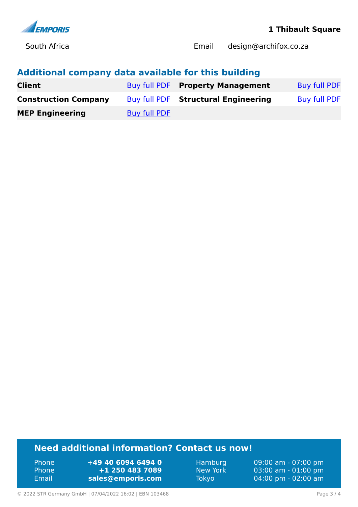

South Africa Email design@archifox.co.za

# **Additional company data available for this building**

| <b>Client</b>               |                     | <b>Buy full PDF Property Management</b> | <b>Buy full PDF</b> |
|-----------------------------|---------------------|-----------------------------------------|---------------------|
| <b>Construction Company</b> |                     | Buy full PDF Structural Engineering     | <b>Buy full PDF</b> |
| <b>MEP Engineering</b>      | <b>Buy full PDF</b> |                                         |                     |

# **Need additional information? Contact us now!**

Phone **+49 40 6094 6494 0** Phone **+1 250 483 7089** Email **<sales@emporis.com>**

Hamburg 09:00 am - 07:00 pm New York 03:00 am - 01:00 pm<br>Tokyo 04:00 pm - 02:00 am 04:00 pm - 02:00 am